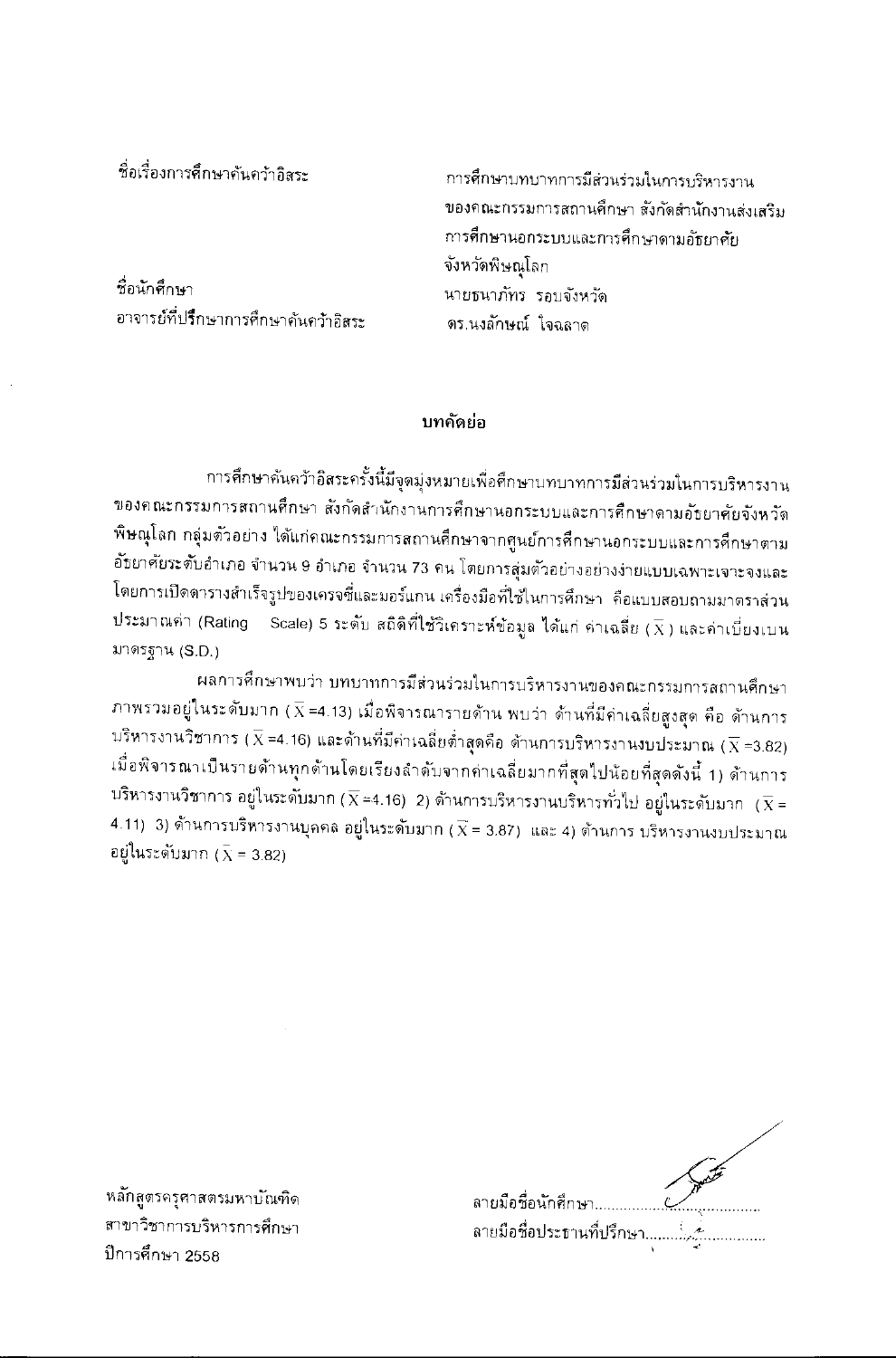ชื่อเรื่องการศึกษาค้นคว้าอิสระ

ชื่อนักศึกษา อาจารย์ที่ปรึกษาการศึกษาคันคว้าอิสระ การศึกษาบทบาทการมีส่วนร่วมในการบริหารงาน ของคณะกรรมการสถานศึกษา สังกัดสำนักงานส่งเสริม การศึกษานอกระบบและการศึกษาดามอัธยาศัย จังหวัดพิษณุโลก นายธนาภัทร รอบจังหวัด ดร.นงลักษณ์ ใจฉลาด

## บทคัดย่อ

การศึกษาคันคว้าอิสระครั้งนี้มีจุดมุ่งหมายเพื่อศึกษาบทบาทการมีส่วนร่วมในการบริหารงาน ของคณะกรรมการสถานศึกษา สังกัดสำนักงานการศึกษานอกระบบและการศึกษาดามอัธยาศัยจังหวัด พิษณุโลก กลุ่มตัวอย่าง ได้แก่คณะกรรมการสถานศึกษาจากศูนย์การศึกษานอกระบบและการศึกษาตาม อัธยาศัยระตับอำเภอ จำนวน 9 อำเภอ จำนวน 73 คน โตยการสุ่มตัวอย่างอย่างง่ายแบบเฉพาะเจาะจงและ โดยการเปิดดารางสำเร็จรูบ่ของเครจซี่และมอร์แกน เครื่องมือที่ใช้ในการศึกษา คือแบบสอบถามมาตราส่วน ประมาณค่า (Rating  $-$  Scale) 5 ระดับ สถิติที่ใช้วิเคราะห์ข้อมูล ได้แก่ ค่าเฉลี่ย  $(\overline{X})$  และค่าเบี่ยงเบน มาตรฐาน (S.D.)

ผลการศึกษาพบว่า บทบาทการมีส่วนร่วมในการบริหารงานของคณะกรรมการสถานศึกษา ภาพรวมอยู่ในระดับมาก ( $\overline{\chi}$  =4.13) เมื่อพิจารณารายด้าน พบว่า ด้านที่มีค่าเฉลี่ยสูงสุด คือ ด้านการ บริหารงานวิชาการ ( $\overline{\chi}$  =4.16) และด้านที่มีค่าเฉลี่ยต่ำสุดคือ ด้านการบริหารงานงบประมาณ ( $\overline{\chi}$  =3.82) เมื่อพิจารณาเป็นรายด้านทุกด้านโดยเรียงลำดับจากค่าเฉลี่ยมากที่สุดไปน้อยที่สุดดังนี้ 1) ด้านการ ปริหารงานวิชาการ อยู่ในระดับมาก ( $\overline{\chi}$ =4.16) 2) ด้านการบริหารงานบริหารทั่วไป อยู่ในระดับมาก ( $\overline{\chi}$  = 4.11) 3) ด้านการบริหารงานบุคคล อยู่ในระดับมาก ( $\overline{\chi}$  = 3.87) และ 4) ต้านการ บริหารงานงบประมาณ อยู่ในระดับมาก ( $\bar{x}$  = 3.82)

| ลายมือชื่อนักศึกษา        |  |
|---------------------------|--|
| ลายมือชื่อประธานที่ปรึกษา |  |
|                           |  |

หลักสูตรครุศาสตรมหาบัณฑิด สาขาวิชาการบริหารการศึกษา ปีการศึกษา 2558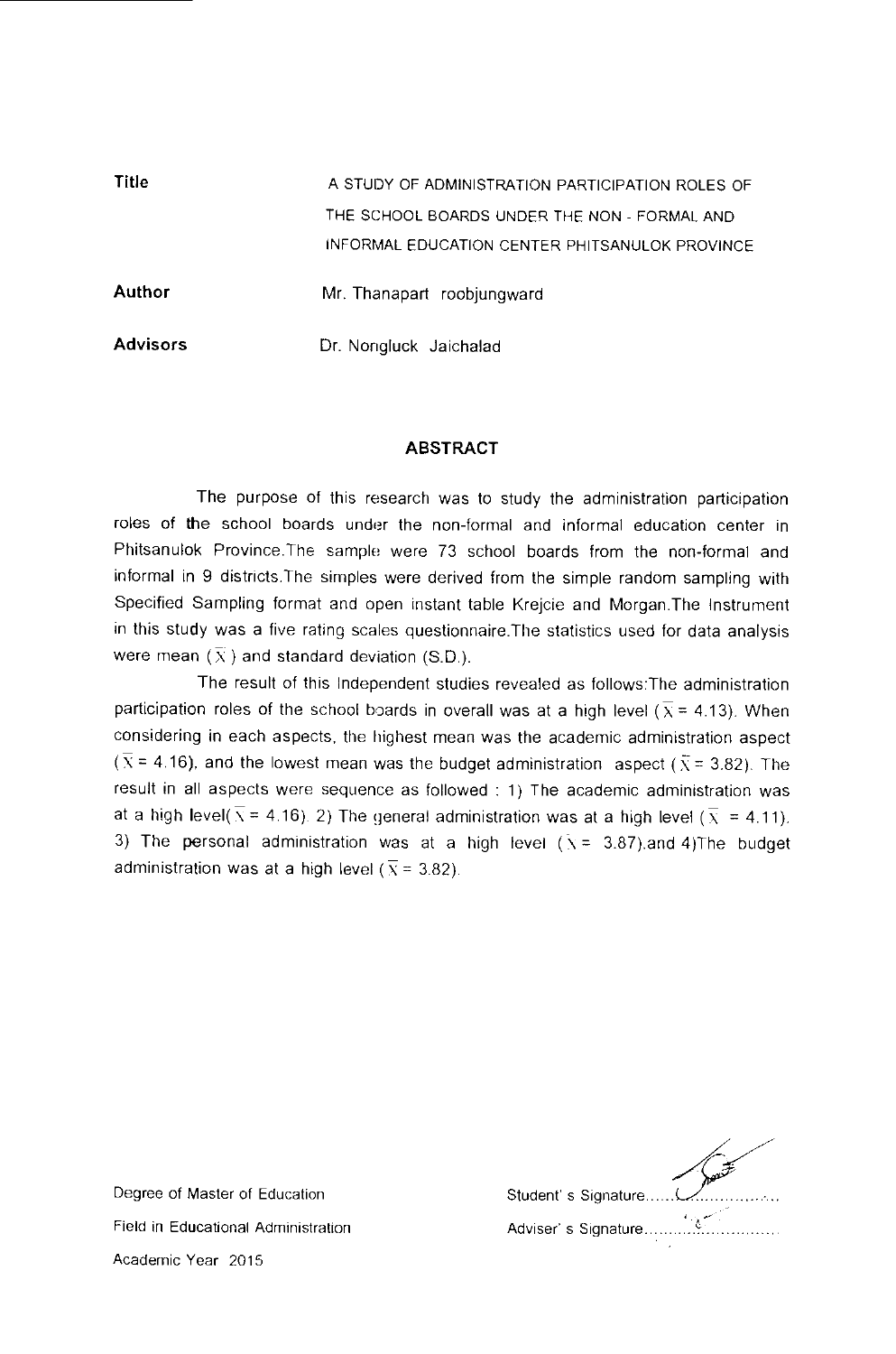| Title           | A STUDY OF ADMINISTRATION PARTICIPATION ROLES OF |
|-----------------|--------------------------------------------------|
|                 | THE SCHOOL BOARDS UNDER THE NON - FORMAL AND     |
|                 | INFORMAL EDUCATION CENTER PHITSANULOK PROVINCE   |
| <b>Author</b>   | Mr. Thanapart roobjungward                       |
| <b>Advisors</b> | Dr. Nongluck Jaichalad                           |

## ABSTRACT

The purpose of this research was to study the administration participation roles of the school boards under the non-formal and informal education center in Phitsanulok Province.The sample were 73 school boards from the non-formal and informal in 9 districts.The simples were derived from the simple random sampling with Specified Sampling format and open instant table Krejcie and Morgan.The Instrument in this study was a five rating scales questionnaire.The statistics used for data analysis were mean  $(\overline{X})$  and standard deviation (S.D.).

The result of this Independent studies revealed as follows:The administration participation roles of the school boards in overall was at a high level ( $\overline{x}$  = 4.13). When considering in each aspects, the highest mean was the academic administration aspect ( $\overline{X}$  = 4.16), and the lowest mean was the budget administration aspect ( $\overline{X}$  = 3.82). The result in all aspects were sequence as followed : 1) The academic administration was at a high level( $\overline{x}$  = 4.16). 2) The general administration was at a high level ( $\overline{x}$  = 4.11). 3) The personal administration was at a high level  $(\bar{x} = 3.87)$  and 4)The budget administration was at a high level ( $\overline{x}$  = 3.82).

| Adviser's Signature. |
|----------------------|

Degree of Master of Education Field in Educational Administration Academic Year 2015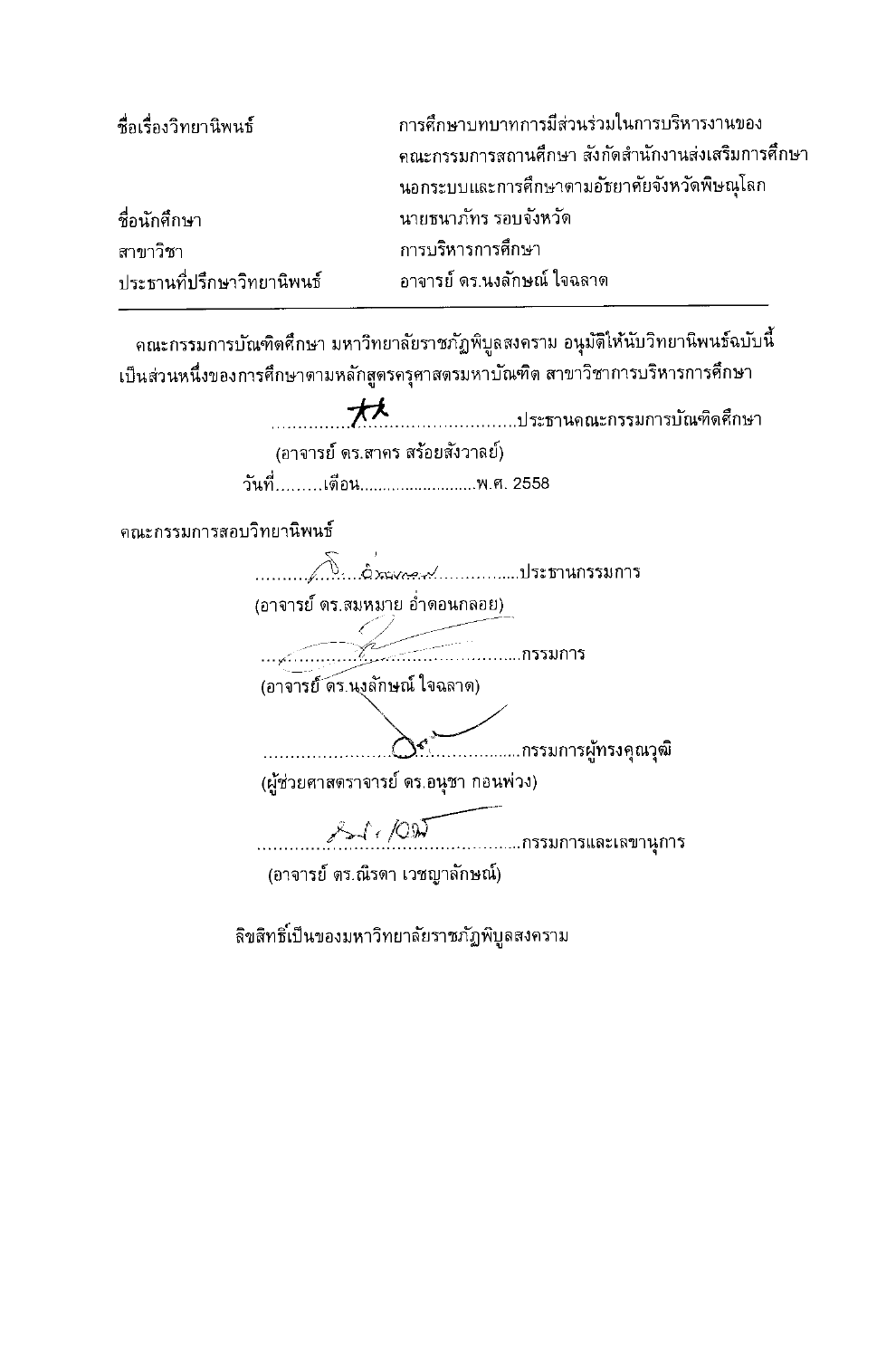| ชื่อเรื่องวิทยานิพนธ์      | การศึกษาบทบาทการมีส่วนร่วมในการบริหารงานของ         |
|----------------------------|-----------------------------------------------------|
|                            | ้คณะกรรมการสถานศึกษา สังกัดสำนักงานส่งเสริมการศึกษา |
|                            | นอกระบบและการศึกษาตามอัชยาคัยจังหวัดพิษณุโลก        |
| ชื่อนักศึกษา               | นายธนาภัทร รอบจังหวัด                               |
| สาขาวิชา                   | การบริหารการศึกษา                                   |
| ประธานที่ปรึกษาวิทยานิพนธ์ | ้อาจารย์ ดร.นงลักษณ์ ใจฉลาด                         |

ดณะกรรมการบัณฑิตศึกษา มหาวิทยาลัยราชภัฏพิบูลสงคราม อนุมัติให้นับวิทยานิพนธ์ฉบับนี้ เป็นส่วนหนึ่งของการศึกษาตามหลักสูตรครุศาสตรมหาบัณฑิต สาขาวิชาการบริหารการศึกษา

> 水 .....................ประธานคณะกรรมการบัณฑิดศึกษา (อาจารย์ ดร.สาคร สร้อยสังวาลย์) วันที่.........เตือน............................พ.ศ. 2558

ดณะกรรมการสอบวิทยานิพนธ์

(อาจารย์ ดร.สมหมาย อ่ำดอนกลอย)  $\frac{1}{\sqrt{1-\frac{1}{2}}\sqrt{1-\frac{1}{2}}\sqrt{1-\frac{1}{2}}\sqrt{1-\frac{1}{2}}\sqrt{1-\frac{1}{2}}\sqrt{1-\frac{1}{2}}\sqrt{1-\frac{1}{2}}\sqrt{1-\frac{1}{2}}\sqrt{1-\frac{1}{2}}\sqrt{1-\frac{1}{2}}\sqrt{1-\frac{1}{2}}\sqrt{1-\frac{1}{2}}\sqrt{1-\frac{1}{2}}\sqrt{1-\frac{1}{2}}\sqrt{1-\frac{1}{2}}\sqrt{1-\frac{1}{2}}\sqrt{1-\frac{1}{2}}\sqrt{1-\frac{1}{2}}\sqrt{1-\frac{1}{2}}\sqrt{1-\frac$ (อาจารย์ ดร.นงลักษณ์ ใจฉลาด) (ผู้ช่วยศาสตราจารย์ ดร.อนุชา กอนพ่วง)  $8 - 1.707$ ...........กรรมการและเลขานุการ (อาจารย์ ตร.ณิรดา เวชญาลักษณ์)

ลิขสิทธิ์เป็นของมหาวิทยาลัยราชภัฏพิบูลสงคราม